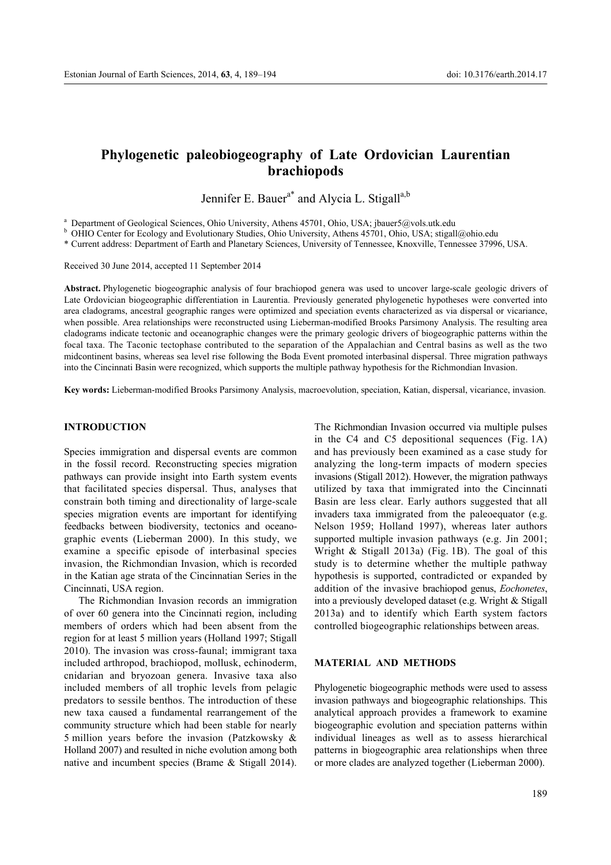# **Phylogenetic paleobiogeography of Late Ordovician Laurentian brachiopods**

Jennifer E. Bauer<sup>a\*</sup> and Alycia L. Stigall<sup>a,b</sup>

<sup>a</sup> Department of Geological Sciences, Ohio University, Athens 45701, Ohio, USA; jbauer5@vols.utk.edu b<br>b OUIO Conter for Feelegy and Evolutionary Studies, Ohio University, Athens 45701, Ohio, USA; etimell

<sup>b</sup> OHIO Center for Ecology and Evolutionary Studies, Ohio University, Athens 45701, Ohio, USA; stigall@ohio.edu

\* Current address: Department of Earth and Planetary Sciences, University of Tennessee, Knoxville, Tennessee 37996, USA.

Received 30 June 2014, accepted 11 September 2014

**Abstract.** Phylogenetic biogeographic analysis of four brachiopod genera was used to uncover large-scale geologic drivers of Late Ordovician biogeographic differentiation in Laurentia. Previously generated phylogenetic hypotheses were converted into area cladograms, ancestral geographic ranges were optimized and speciation events characterized as via dispersal or vicariance, when possible. Area relationships were reconstructed using Lieberman-modified Brooks Parsimony Analysis. The resulting area cladograms indicate tectonic and oceanographic changes were the primary geologic drivers of biogeographic patterns within the focal taxa. The Taconic tectophase contributed to the separation of the Appalachian and Central basins as well as the two midcontinent basins, whereas sea level rise following the Boda Event promoted interbasinal dispersal. Three migration pathways into the Cincinnati Basin were recognized, which supports the multiple pathway hypothesis for the Richmondian Invasion.

**Key words:** Lieberman-modified Brooks Parsimony Analysis, macroevolution, speciation, Katian, dispersal, vicariance, invasion.

## **INTRODUCTION**

Species immigration and dispersal events are common in the fossil record. Reconstructing species migration pathways can provide insight into Earth system events that facilitated species dispersal. Thus, analyses that constrain both timing and directionality of large-scale species migration events are important for identifying feedbacks between biodiversity, tectonics and oceanographic events (Lieberman 2000). In this study, we examine a specific episode of interbasinal species invasion, the Richmondian Invasion, which is recorded in the Katian age strata of the Cincinnatian Series in the Cincinnati, USA region.

The Richmondian Invasion records an immigration of over 60 genera into the Cincinnati region, including members of orders which had been absent from the region for at least 5 million years (Holland 1997; Stigall 2010). The invasion was cross-faunal; immigrant taxa included arthropod, brachiopod, mollusk, echinoderm, cnidarian and bryozoan genera. Invasive taxa also included members of all trophic levels from pelagic predators to sessile benthos. The introduction of these new taxa caused a fundamental rearrangement of the community structure which had been stable for nearly 5 million years before the invasion (Patzkowsky & Holland 2007) and resulted in niche evolution among both native and incumbent species (Brame & Stigall 2014). The Richmondian Invasion occurred via multiple pulses in the C4 and C5 depositional sequences (Fig. 1A) and has previously been examined as a case study for analyzing the long-term impacts of modern species invasions (Stigall 2012). However, the migration pathways utilized by taxa that immigrated into the Cincinnati Basin are less clear. Early authors suggested that all invaders taxa immigrated from the paleoequator (e.g. Nelson 1959; Holland 1997), whereas later authors supported multiple invasion pathways (e.g. Jin 2001; Wright & Stigall 2013a) (Fig. 1B). The goal of this study is to determine whether the multiple pathway hypothesis is supported, contradicted or expanded by addition of the invasive brachiopod genus, *Eochonetes*, into a previously developed dataset (e.g. Wright & Stigall 2013a) and to identify which Earth system factors controlled biogeographic relationships between areas.

#### **MATERIAL AND METHODS**

Phylogenetic biogeographic methods were used to assess invasion pathways and biogeographic relationships. This analytical approach provides a framework to examine biogeographic evolution and speciation patterns within individual lineages as well as to assess hierarchical patterns in biogeographic area relationships when three or more clades are analyzed together (Lieberman 2000).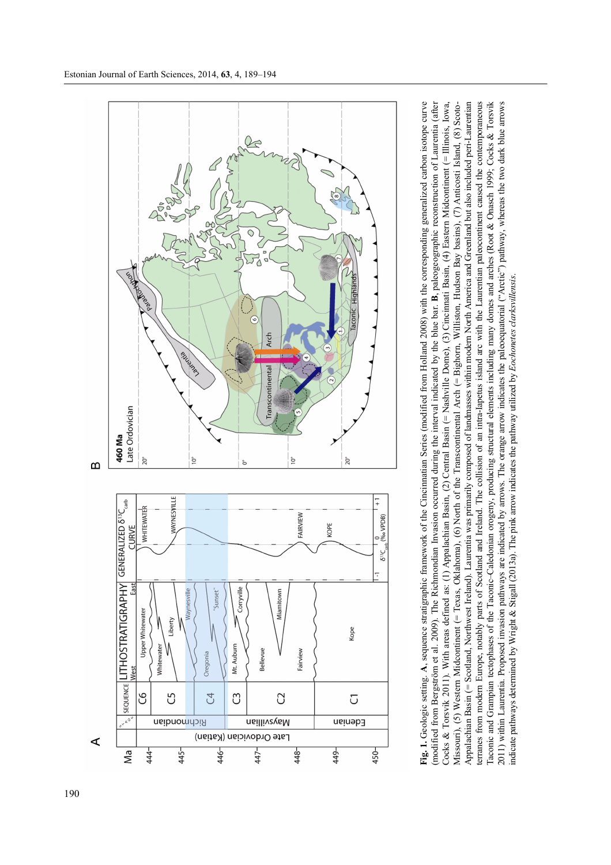

**Fig. 1.** Geologic setting. **A**, sequence stratigraphic framework of the Cincinnatian Series (modified from Holland 2008) with the corresponding generalized carbon isotope curve (modified from Bergström et al. 2009). The Richmondian Invasion occurred during the interval indicated by the blue bar. **B**, paleogeographic reconstruction of Laurentia (after Cocks & Torsvik 2011). With areas defined as: (1) Appalachian Basin, (2) Central Basin (= Nashville Dome), (3) Cincinnati Basin, (4) Eastern Midcontinent (= Illinois, Iowa, Appalachian Basin (= Scotland, Northwest Ireland). Laurentia was primarily composed of landmasses within modern North America and Greenland but also included peri-Laurentian terranes from modern Europe, notably parts of Scotland and Ireland. The collision of an intra-Iapetus island arc with the Laurentian paleocontinent caused the contemporaneous Taconic and Grampian tectophases of the Taconic-Caledonian orogeny, producing structural elements including many domes and arches (Root & Onasch 1999; Cocks & Torsvik 2011) within Laurentia. Proposed invasion pathways are indicated by arrows. The orange arrow indicates the paleoequatorial (ìArcticî) pathway, whereas the two dark blue arrows terranes from modern Europe, notably parts of Scotland and Ireland. The collision of an intra-lapetus island are with the Laurentian paleocontinent caused the contemporaneous Fig. 1. Geologic setting. A, sequence stratigraphic framework of the Cincinnatian Series (modified from Holland 2008) with the corresponding generalized carbon isotope curve modified from Bergström et al. 2009). The Richmondian Invasion occurred during the interval indicated by the blue bar. B, paleogeographic reconstruction of Laurentia (after Cocks & Torsvik 2011). With areas defined as: (1) Appalachian Basin, (2) Central Basin (= Nashville Dome), (3) Cincinnati Basin, (4) Eastern Midcontinent (= Illinois, Iowa, Missouri), (5) Western Midcontinent (= Texas, Oklahoma), (6) North of the Transcontinental Arch (= Bighorn, Williston, Hudson Bay basins), (7) Anticosti Island, (8) Scoto-Appalachian Basin (= Scotland, Northwest Ireland). Laurentia was primarily composed of landmasses within modem North America and Greenland but also included peri-Laurentian faconic and Grampian tectophases of the Taconic-Caledonian orogeny, producing structural elements including many domes and arches (Root & Onasch 1999; Cocks & Torsvik 2011) within Laurentia. Proposed invasion pathways are indicated by arrows. The orange arrow indicates the paleoequatorial ("Arctic") pathway, whereas the two dark blue arrows Missouri), (5) Western Midcontinent (= Texas, Oklahoma), (6) North of the Transcontinental Arch (= Bighorn, Williston, Hudson Bay basins), (7) Anticosti Island, (8) Scotondicate pathways determined by Wright & Stigall (2013a). The pink arrow indicates the pathway utilized by Eochonetes clarksvillensis. indicate pathways determined by Wright & Stigall (2013a). The pink arrow indicates the pathway utilized by *Eochonetes clarksvillensis*.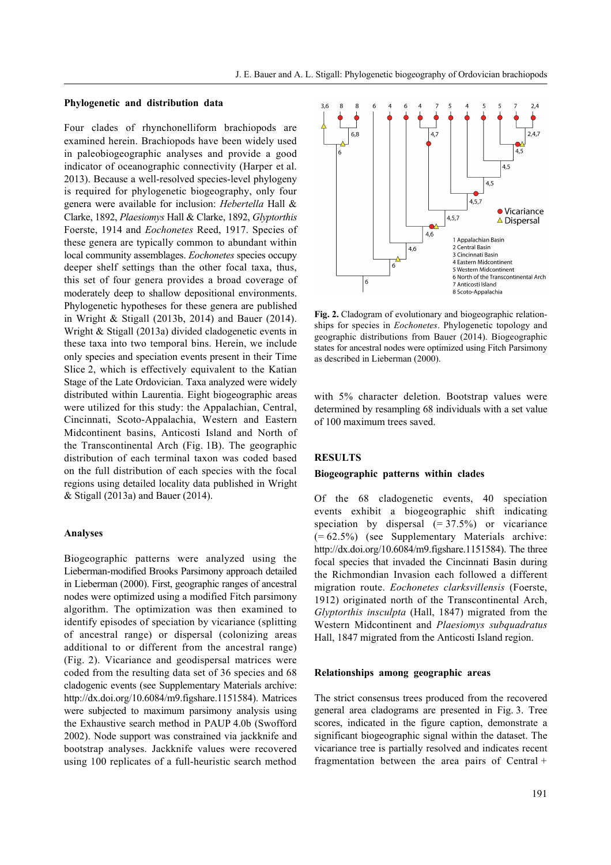#### **Phylogenetic and distribution data**

Four clades of rhynchonelliform brachiopods are examined herein. Brachiopods have been widely used in paleobiogeographic analyses and provide a good indicator of oceanographic connectivity (Harper et al. 2013). Because a well-resolved species-level phylogeny is required for phylogenetic biogeography, only four genera were available for inclusion: *Hebertella* Hall & Clarke, 1892, *Plaesiomys* Hall & Clarke, 1892, *Glyptorthis* Foerste, 1914 and *Eochonetes* Reed, 1917. Species of these genera are typically common to abundant within local community assemblages. *Eochonetes* species occupy deeper shelf settings than the other focal taxa, thus, this set of four genera provides a broad coverage of moderately deep to shallow depositional environments. Phylogenetic hypotheses for these genera are published in Wright & Stigall (2013b, 2014) and Bauer (2014). Wright & Stigall (2013a) divided cladogenetic events in these taxa into two temporal bins. Herein, we include only species and speciation events present in their Time Slice 2, which is effectively equivalent to the Katian Stage of the Late Ordovician. Taxa analyzed were widely distributed within Laurentia. Eight biogeographic areas were utilized for this study: the Appalachian, Central, Cincinnati, Scoto-Appalachia, Western and Eastern Midcontinent basins, Anticosti Island and North of the Transcontinental Arch (Fig. 1B). The geographic distribution of each terminal taxon was coded based on the full distribution of each species with the focal regions using detailed locality data published in Wright & Stigall (2013a) and Bauer (2014).

## **Analyses**

Biogeographic patterns were analyzed using the Lieberman-modified Brooks Parsimony approach detailed in Lieberman (2000). First, geographic ranges of ancestral nodes were optimized using a modified Fitch parsimony algorithm. The optimization was then examined to identify episodes of speciation by vicariance (splitting of ancestral range) or dispersal (colonizing areas additional to or different from the ancestral range) (Fig. 2). Vicariance and geodispersal matrices were coded from the resulting data set of 36 species and 68 cladogenic events (see Supplementary Materials archive: http://dx.doi.org/10.6084/m9.figshare.1151584). Matrices were subjected to maximum parsimony analysis using the Exhaustive search method in PAUP 4.0b (Swofford 2002). Node support was constrained via jackknife and bootstrap analyses. Jackknife values were recovered using 100 replicates of a full-heuristic search method



**Fig. 2.** Cladogram of evolutionary and biogeographic relationships for species in *Eochonetes*. Phylogenetic topology and geographic distributions from Bauer (2014). Biogeographic states for ancestral nodes were optimized using Fitch Parsimony as described in Lieberman (2000).

with 5% character deletion. Bootstrap values were determined by resampling 68 individuals with a set value of 100 maximum trees saved.

## **RESULTS**

#### **Biogeographic patterns within clades**

Of the 68 cladogenetic events, 40 speciation events exhibit a biogeographic shift indicating speciation by dispersal  $(= 37.5%)$  or vicariance  $(= 62.5\%)$  (see Supplementary Materials archive: http://dx.doi.org/10.6084/m9.figshare.1151584). The three focal species that invaded the Cincinnati Basin during the Richmondian Invasion each followed a different migration route. *Eochonetes clarksvillensis* (Foerste, 1912) originated north of the Transcontinental Arch, *Glyptorthis insculpta* (Hall, 1847) migrated from the Western Midcontinent and *Plaesiomys subquadratus* Hall, 1847 migrated from the Anticosti Island region.

### **Relationships among geographic areas**

The strict consensus trees produced from the recovered general area cladograms are presented in Fig. 3. Tree scores, indicated in the figure caption, demonstrate a significant biogeographic signal within the dataset. The vicariance tree is partially resolved and indicates recent fragmentation between the area pairs of Central +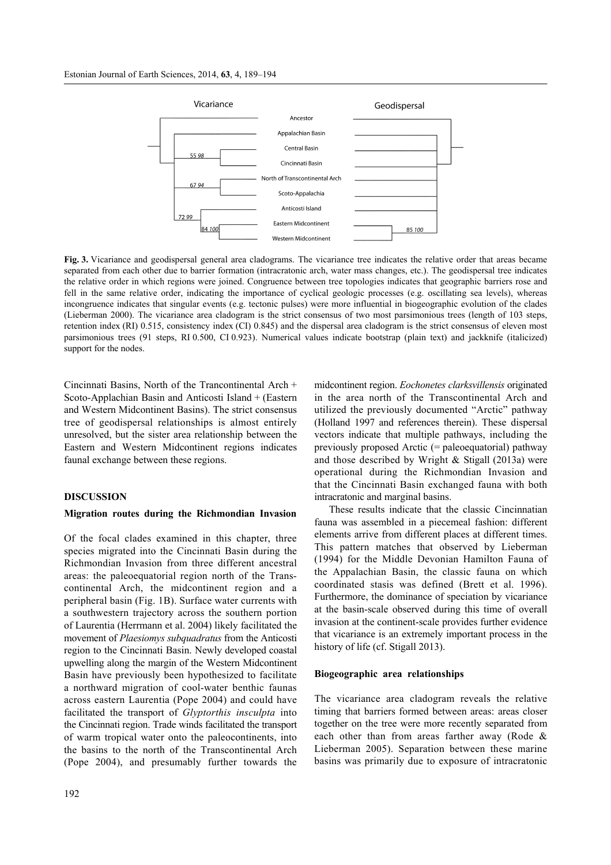

**Fig. 3.** Vicariance and geodispersal general area cladograms. The vicariance tree indicates the relative order that areas became separated from each other due to barrier formation (intracratonic arch, water mass changes, etc.). The geodispersal tree indicates the relative order in which regions were joined. Congruence between tree topologies indicates that geographic barriers rose and fell in the same relative order, indicating the importance of cyclical geologic processes (e.g. oscillating sea levels), whereas incongruence indicates that singular events (e.g. tectonic pulses) were more influential in biogeographic evolution of the clades (Lieberman 2000). The vicariance area cladogram is the strict consensus of two most parsimonious trees (length of 103 steps, retention index (RI) 0.515, consistency index (CI) 0.845) and the dispersal area cladogram is the strict consensus of eleven most parsimonious trees (91 steps, RI 0.500, CI 0.923). Numerical values indicate bootstrap (plain text) and jackknife (italicized) support for the nodes.

Cincinnati Basins, North of the Trancontinental Arch + Scoto-Applachian Basin and Anticosti Island + (Eastern and Western Midcontinent Basins). The strict consensus tree of geodispersal relationships is almost entirely unresolved, but the sister area relationship between the Eastern and Western Midcontinent regions indicates faunal exchange between these regions.

#### **DISCUSSION**

#### **Migration routes during the Richmondian Invasion**

Of the focal clades examined in this chapter, three species migrated into the Cincinnati Basin during the Richmondian Invasion from three different ancestral areas: the paleoequatorial region north of the Transcontinental Arch, the midcontinent region and a peripheral basin (Fig. 1B). Surface water currents with a southwestern trajectory across the southern portion of Laurentia (Herrmann et al. 2004) likely facilitated the movement of *Plaesiomys subquadratus* from the Anticosti region to the Cincinnati Basin. Newly developed coastal upwelling along the margin of the Western Midcontinent Basin have previously been hypothesized to facilitate a northward migration of cool-water benthic faunas across eastern Laurentia (Pope 2004) and could have facilitated the transport of *Glyptorthis insculpta* into the Cincinnati region. Trade winds facilitated the transport of warm tropical water onto the paleocontinents, into the basins to the north of the Transcontinental Arch (Pope 2004), and presumably further towards the midcontinent region. *Eochonetes clarksvillensis* originated in the area north of the Transcontinental Arch and utilized the previously documented "Arctic" pathway (Holland 1997 and references therein). These dispersal vectors indicate that multiple pathways, including the previously proposed Arctic (= paleoequatorial) pathway and those described by Wright & Stigall (2013a) were operational during the Richmondian Invasion and that the Cincinnati Basin exchanged fauna with both intracratonic and marginal basins.

These results indicate that the classic Cincinnatian fauna was assembled in a piecemeal fashion: different elements arrive from different places at different times. This pattern matches that observed by Lieberman (1994) for the Middle Devonian Hamilton Fauna of the Appalachian Basin, the classic fauna on which coordinated stasis was defined (Brett et al. 1996). Furthermore, the dominance of speciation by vicariance at the basin-scale observed during this time of overall invasion at the continent-scale provides further evidence that vicariance is an extremely important process in the history of life (cf. Stigall 2013).

#### **Biogeographic area relationships**

The vicariance area cladogram reveals the relative timing that barriers formed between areas: areas closer together on the tree were more recently separated from each other than from areas farther away (Rode & Lieberman 2005). Separation between these marine basins was primarily due to exposure of intracratonic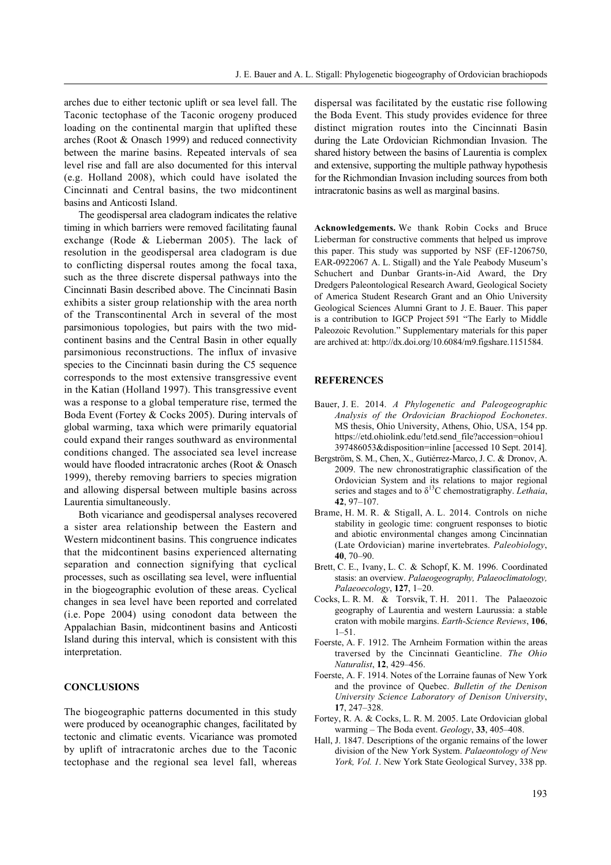arches due to either tectonic uplift or sea level fall. The Taconic tectophase of the Taconic orogeny produced loading on the continental margin that uplifted these arches (Root & Onasch 1999) and reduced connectivity between the marine basins. Repeated intervals of sea level rise and fall are also documented for this interval (e.g. Holland 2008), which could have isolated the Cincinnati and Central basins, the two midcontinent basins and Anticosti Island.

The geodispersal area cladogram indicates the relative timing in which barriers were removed facilitating faunal exchange (Rode & Lieberman 2005). The lack of resolution in the geodispersal area cladogram is due to conflicting dispersal routes among the focal taxa, such as the three discrete dispersal pathways into the Cincinnati Basin described above. The Cincinnati Basin exhibits a sister group relationship with the area north of the Transcontinental Arch in several of the most parsimonious topologies, but pairs with the two midcontinent basins and the Central Basin in other equally parsimonious reconstructions. The influx of invasive species to the Cincinnati basin during the C5 sequence corresponds to the most extensive transgressive event in the Katian (Holland 1997). This transgressive event was a response to a global temperature rise, termed the Boda Event (Fortey & Cocks 2005). During intervals of global warming, taxa which were primarily equatorial could expand their ranges southward as environmental conditions changed. The associated sea level increase would have flooded intracratonic arches (Root & Onasch 1999), thereby removing barriers to species migration and allowing dispersal between multiple basins across Laurentia simultaneously.

Both vicariance and geodispersal analyses recovered a sister area relationship between the Eastern and Western midcontinent basins. This congruence indicates that the midcontinent basins experienced alternating separation and connection signifying that cyclical processes, such as oscillating sea level, were influential in the biogeographic evolution of these areas. Cyclical changes in sea level have been reported and correlated (i.e. Pope 2004) using conodont data between the Appalachian Basin, midcontinent basins and Anticosti Island during this interval, which is consistent with this interpretation.

## **CONCLUSIONS**

The biogeographic patterns documented in this study were produced by oceanographic changes, facilitated by tectonic and climatic events. Vicariance was promoted by uplift of intracratonic arches due to the Taconic tectophase and the regional sea level fall, whereas dispersal was facilitated by the eustatic rise following the Boda Event. This study provides evidence for three distinct migration routes into the Cincinnati Basin during the Late Ordovician Richmondian Invasion. The shared history between the basins of Laurentia is complex and extensive, supporting the multiple pathway hypothesis for the Richmondian Invasion including sources from both intracratonic basins as well as marginal basins.

**Acknowledgements.** We thank Robin Cocks and Bruce Lieberman for constructive comments that helped us improve this paper. This study was supported by NSF (EF-1206750, EAR-0922067 A. L. Stigall) and the Yale Peabody Museum's Schuchert and Dunbar Grants-in-Aid Award, the Dry Dredgers Paleontological Research Award, Geological Society of America Student Research Grant and an Ohio University Geological Sciences Alumni Grant to J. E. Bauer. This paper is a contribution to IGCP Project 591 "The Early to Middle Paleozoic Revolution." Supplementary materials for this paper are archived at: http://dx.doi.org/10.6084/m9.figshare.1151584.

## **REFERENCES**

- Bauer, J. E. 2014. *A Phylogenetic and Paleogeographic Analysis of the Ordovician Brachiopod Eochonetes*. MS thesis, Ohio University, Athens, Ohio, USA, 154 pp. https://etd.ohiolink.edu/!etd.send\_file?accession=ohiou1 397486053&disposition=inline [accessed 10 Sept. 2014].
- Bergström, S. M., Chen, X., Gutiérrez-Marco, J. C. & Dronov, A. 2009. The new chronostratigraphic classification of the Ordovician System and its relations to major regional series and stages and to  $\delta^{13}$ C chemostratigraphy. *Lethaia*, **42**, 97-107.
- Brame, H. M. R. & Stigall, A. L. 2014. Controls on niche stability in geologic time: congruent responses to biotic and abiotic environmental changes among Cincinnatian (Late Ordovician) marine invertebrates. *Paleobiology*, **40**, 70–90.
- Brett, C. E., Ivany, L. C. & Schopf, K. M. 1996. Coordinated stasis: an overview. *Palaeogeography, Palaeoclimatology, Palaeoecology*, 127, 1-20.
- Cocks, L. R. M. & Torsvik, T. H. 2011. The Palaeozoic geography of Laurentia and western Laurussia: a stable craton with mobile margins. *Earth-Science Reviews*, **106**,  $1 - 51$
- Foerste, A. F. 1912. The Arnheim Formation within the areas traversed by the Cincinnati Geanticline. *The Ohio Naturalist*, **12**, 429–456.
- Foerste, A. F. 1914. Notes of the Lorraine faunas of New York and the province of Quebec. *Bulletin of the Denison University Science Laboratory of Denison University*, **17**, 247–328.
- Fortey, R. A. & Cocks, L. R. M. 2005. Late Ordovician global warming  $-$  The Boda event. *Geology*, **33**, 405 $-408$ .
- Hall, J. 1847. Descriptions of the organic remains of the lower division of the New York System. *Palaeontology of New York, Vol. 1*. New York State Geological Survey, 338 pp.